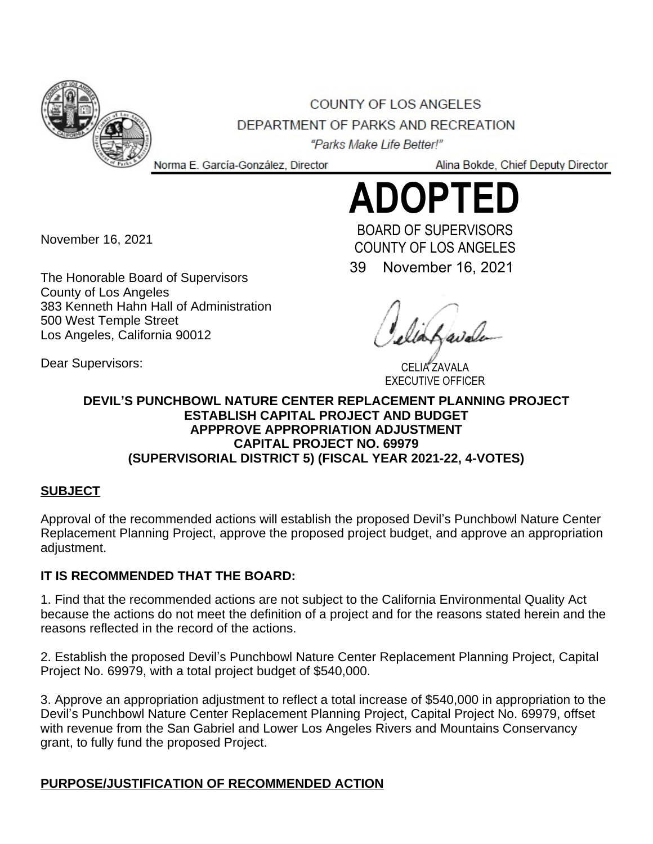

COUNTY OF LOS ANGELES DEPARTMENT OF PARKS AND RECREATION

"Parks Make Life Better!" Norma E. García-González, Director

Alina Bokde, Chief Deputy Director

# **ADOPTED**

November 16, 2021

Dear Supervisors:

The Honorable Board of Supervisors County of Los Angeles 383 Kenneth Hahn Hall of Administration 500 West Temple Street Los Angeles, California 90012

39 November 16, 2021 BOARD OF SUPERVISORS COUNTY OF LOS ANGELES

CELIA ZAVALA EXECUTIVE OFFICER

### **DEVIL'S PUNCHBOWL NATURE CENTER REPLACEMENT PLANNING PROJECT ESTABLISH CAPITAL PROJECT AND BUDGET APPPROVE APPROPRIATION ADJUSTMENT CAPITAL PROJECT NO. 69979 (SUPERVISORIAL DISTRICT 5) (FISCAL YEAR 2021-22, 4-VOTES)**

## **SUBJECT**

Approval of the recommended actions will establish the proposed Devil's Punchbowl Nature Center Replacement Planning Project, approve the proposed project budget, and approve an appropriation adiustment.

## **IT IS RECOMMENDED THAT THE BOARD:**

1. Find that the recommended actions are not subject to the California Environmental Quality Act because the actions do not meet the definition of a project and for the reasons stated herein and the reasons reflected in the record of the actions.

2. Establish the proposed Devil's Punchbowl Nature Center Replacement Planning Project, Capital Project No. 69979, with a total project budget of \$540,000.

3. Approve an appropriation adjustment to reflect a total increase of \$540,000 in appropriation to the Devil's Punchbowl Nature Center Replacement Planning Project, Capital Project No. 69979, offset with revenue from the San Gabriel and Lower Los Angeles Rivers and Mountains Conservancy grant, to fully fund the proposed Project.

## **PURPOSE/JUSTIFICATION OF RECOMMENDED ACTION**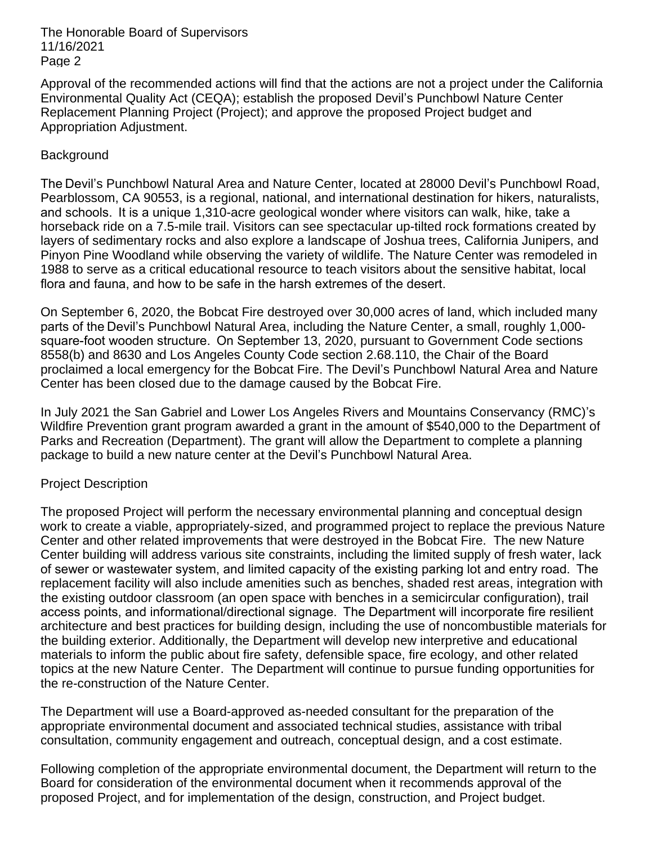The Honorable Board of Supervisors 11/16/2021 Page 2

Approval of the recommended actions will find that the actions are not a project under the California Environmental Quality Act (CEQA); establish the proposed Devil's Punchbowl Nature Center Replacement Planning Project (Project); and approve the proposed Project budget and Appropriation Adjustment.

#### **Background**

The Devil's Punchbowl Natural Area and Nature Center, located at 28000 Devil's Punchbowl Road, Pearblossom, CA 90553, is a regional, national, and international destination for hikers, naturalists, and schools.  It is a unique 1,310-acre geological wonder where visitors can walk, hike, take a horseback ride on a 7.5-mile trail. Visitors can see spectacular up-tilted rock formations created by layers of sedimentary rocks and also explore a landscape of Joshua trees, California Junipers, and Pinyon Pine Woodland while observing the variety of wildlife. The Nature Center was remodeled in 1988 to serve as a critical educational resource to teach visitors about the sensitive habitat, local flora and fauna, and how to be safe in the harsh extremes of the desert. 

On September 6, 2020, the Bobcat Fire destroyed over 30,000 acres of land, which included many parts of the Devil's Punchbowl Natural Area, including the Nature Center, a small, roughly 1,000 square-foot wooden structure.  On September 13, 2020, pursuant to Government Code sections 8558(b) and 8630 and Los Angeles County Code section 2.68.110, the Chair of the Board proclaimed a local emergency for the Bobcat Fire. The Devil's Punchbowl Natural Area and Nature Center has been closed due to the damage caused by the Bobcat Fire.

In July 2021 the San Gabriel and Lower Los Angeles Rivers and Mountains Conservancy (RMC)'s Wildfire Prevention grant program awarded a grant in the amount of \$540,000 to the Department of Parks and Recreation (Department). The grant will allow the Department to complete a planning package to build a new nature center at the Devil's Punchbowl Natural Area.

#### Project Description

The proposed Project will perform the necessary environmental planning and conceptual design work to create a viable, appropriately-sized, and programmed project to replace the previous Nature Center and other related improvements that were destroyed in the Bobcat Fire. The new Nature Center building will address various site constraints, including the limited supply of fresh water, lack of sewer or wastewater system, and limited capacity of the existing parking lot and entry road.  The replacement facility will also include amenities such as benches, shaded rest areas, integration with the existing outdoor classroom (an open space with benches in a semicircular configuration), trail access points, and informational/directional signage.  The Department will incorporate fire resilient architecture and best practices for building design, including the use of noncombustible materials for the building exterior. Additionally, the Department will develop new interpretive and educational materials to inform the public about fire safety, defensible space, fire ecology, and other related topics at the new Nature Center. The Department will continue to pursue funding opportunities for the re-construction of the Nature Center.

The Department will use a Board-approved as-needed consultant for the preparation of the appropriate environmental document and associated technical studies, assistance with tribal consultation, community engagement and outreach, conceptual design, and a cost estimate.

Following completion of the appropriate environmental document, the Department will return to the Board for consideration of the environmental document when it recommends approval of the proposed Project, and for implementation of the design, construction, and Project budget.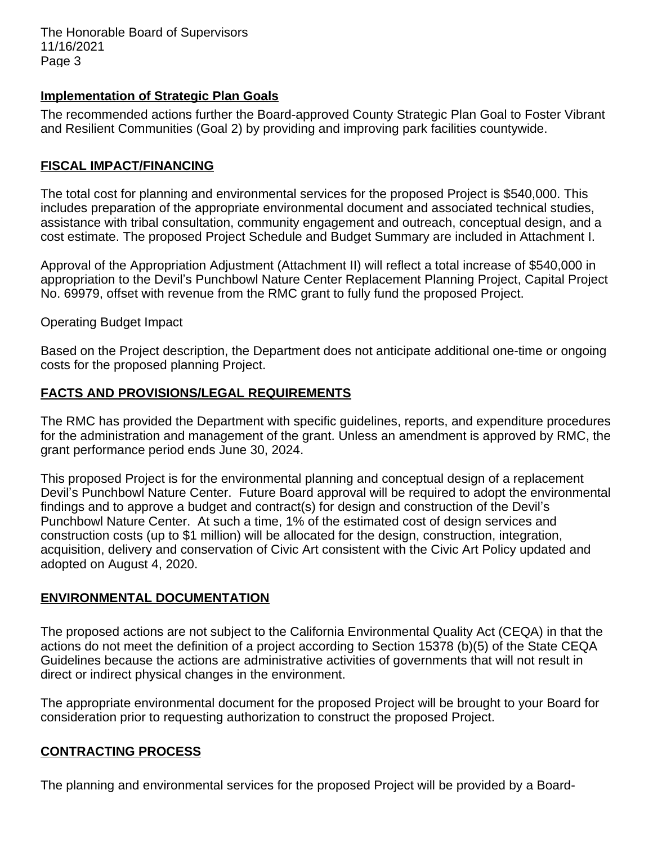The Honorable Board of Supervisors 11/16/2021 Page 3

#### **Implementation of Strategic Plan Goals**

The recommended actions further the Board-approved County Strategic Plan Goal to Foster Vibrant and Resilient Communities (Goal 2) by providing and improving park facilities countywide.

#### **FISCAL IMPACT/FINANCING**

The total cost for planning and environmental services for the proposed Project is \$540,000. This includes preparation of the appropriate environmental document and associated technical studies, assistance with tribal consultation, community engagement and outreach, conceptual design, and a cost estimate. The proposed Project Schedule and Budget Summary are included in Attachment I.

Approval of the Appropriation Adjustment (Attachment II) will reflect a total increase of \$540,000 in appropriation to the Devil's Punchbowl Nature Center Replacement Planning Project, Capital Project No. 69979, offset with revenue from the RMC grant to fully fund the proposed Project.

Operating Budget Impact

Based on the Project description, the Department does not anticipate additional one-time or ongoing costs for the proposed planning Project.

#### **FACTS AND PROVISIONS/LEGAL REQUIREMENTS**

The RMC has provided the Department with specific guidelines, reports, and expenditure procedures for the administration and management of the grant. Unless an amendment is approved by RMC, the grant performance period ends June 30, 2024.

This proposed Project is for the environmental planning and conceptual design of a replacement Devil's Punchbowl Nature Center. Future Board approval will be required to adopt the environmental findings and to approve a budget and contract(s) for design and construction of the Devil's Punchbowl Nature Center. At such a time, 1% of the estimated cost of design services and construction costs (up to \$1 million) will be allocated for the design, construction, integration, acquisition, delivery and conservation of Civic Art consistent with the Civic Art Policy updated and adopted on August 4, 2020.

#### **ENVIRONMENTAL DOCUMENTATION**

The proposed actions are not subject to the California Environmental Quality Act (CEQA) in that the actions do not meet the definition of a project according to Section 15378 (b)(5) of the State CEQA Guidelines because the actions are administrative activities of governments that will not result in direct or indirect physical changes in the environment.

The appropriate environmental document for the proposed Project will be brought to your Board for consideration prior to requesting authorization to construct the proposed Project.

#### **CONTRACTING PROCESS**

The planning and environmental services for the proposed Project will be provided by a Board-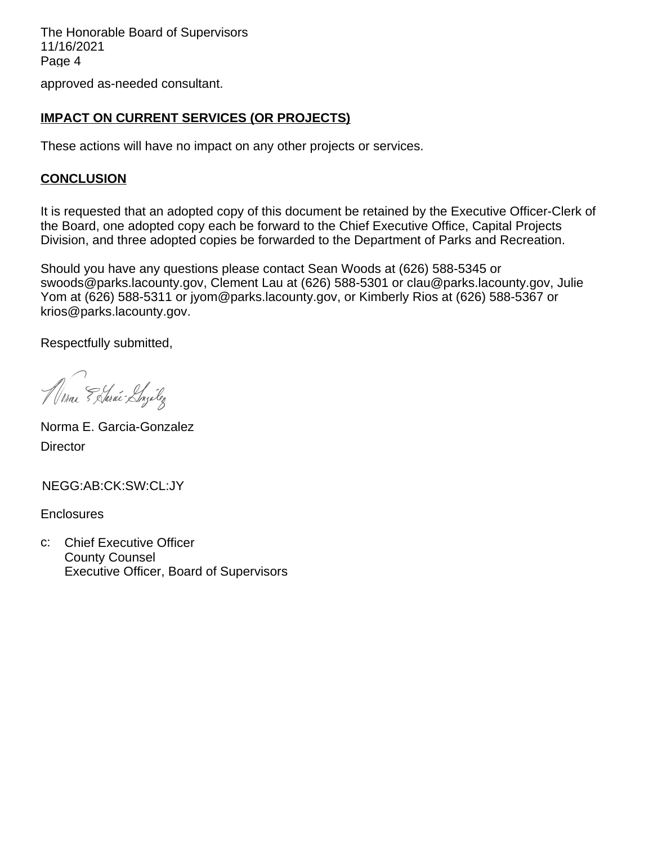The Honorable Board of Supervisors 11/16/2021 Page 4

### approved as-needed consultant.

### **IMPACT ON CURRENT SERVICES (OR PROJECTS)**

These actions will have no impact on any other projects or services.

#### **CONCLUSION**

It is requested that an adopted copy of this document be retained by the Executive Officer-Clerk of the Board, one adopted copy each be forward to the Chief Executive Office, Capital Projects Division, and three adopted copies be forwarded to the Department of Parks and Recreation.

Should you have any questions please contact Sean Woods at (626) 588-5345 or swoods@parks.lacounty.gov, Clement Lau at (626) 588-5301 or clau@parks.lacounty.gov, Julie Yom at (626) 588-5311 or jyom@parks.lacounty.gov, or Kimberly Rios at (626) 588-5367 or krios@parks.lacounty.gov.

Respectfully submitted,

Marie Estarié Lazilez

Norma E. Garcia-Gonzalez **Director** 

NEGG:AB:CK:SW:CL:JY

**Enclosures** 

c: Chief Executive Officer County Counsel Executive Officer, Board of Supervisors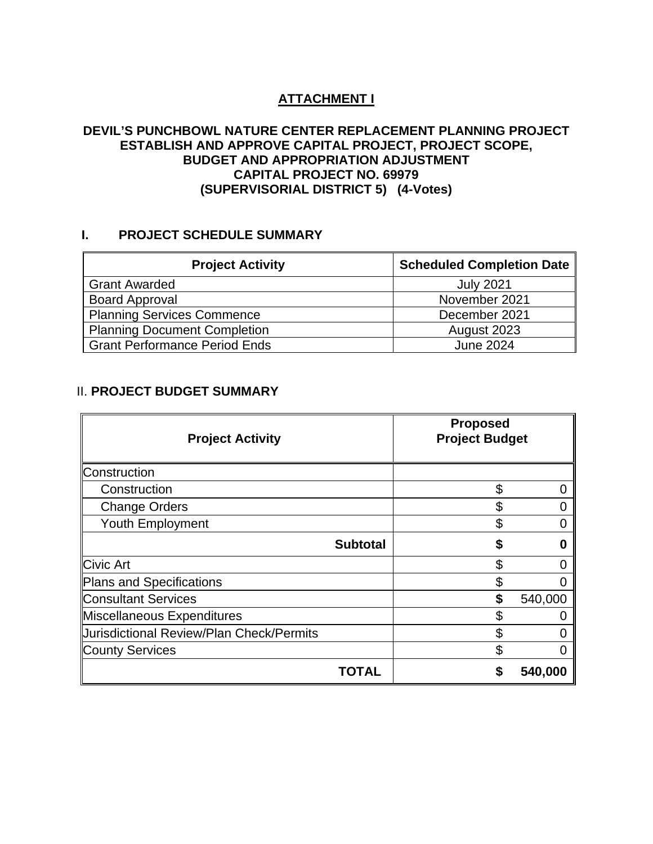## **ATTACHMENT I**

#### **DEVIL'S PUNCHBOWL NATURE CENTER REPLACEMENT PLANNING PROJECT ESTABLISH AND APPROVE CAPITAL PROJECT, PROJECT SCOPE, BUDGET AND APPROPRIATION ADJUSTMENT CAPITAL PROJECT NO. 69979 (SUPERVISORIAL DISTRICT 5) (4-Votes)**

#### **I. PROJECT SCHEDULE SUMMARY**

| <b>Project Activity</b>              | <b>Scheduled Completion Date</b> |
|--------------------------------------|----------------------------------|
| <b>Grant Awarded</b>                 | <b>July 2021</b>                 |
| <b>Board Approval</b>                | November 2021                    |
| <b>Planning Services Commence</b>    | December 2021                    |
| <b>Planning Document Completion</b>  | August 2023                      |
| <b>Grant Performance Period Ends</b> | <b>June 2024</b>                 |

### II. **PROJECT BUDGET SUMMARY**

| <b>Project Activity</b>                  | <b>Proposed</b><br><b>Project Budget</b> |         |
|------------------------------------------|------------------------------------------|---------|
| Construction                             |                                          |         |
| Construction                             | \$                                       |         |
| <b>Change Orders</b>                     |                                          |         |
| <b>Youth Employment</b>                  |                                          |         |
| <b>Subtotal</b>                          | S                                        | O       |
| <b>Civic Art</b>                         |                                          |         |
| Plans and Specifications                 |                                          |         |
| Consultant Services                      | S                                        | 540,000 |
| Miscellaneous Expenditures               |                                          |         |
| Uurisdictional Review/Plan Check/Permits |                                          |         |
| <b>County Services</b>                   | S                                        |         |
| OTAL                                     |                                          | 540,000 |